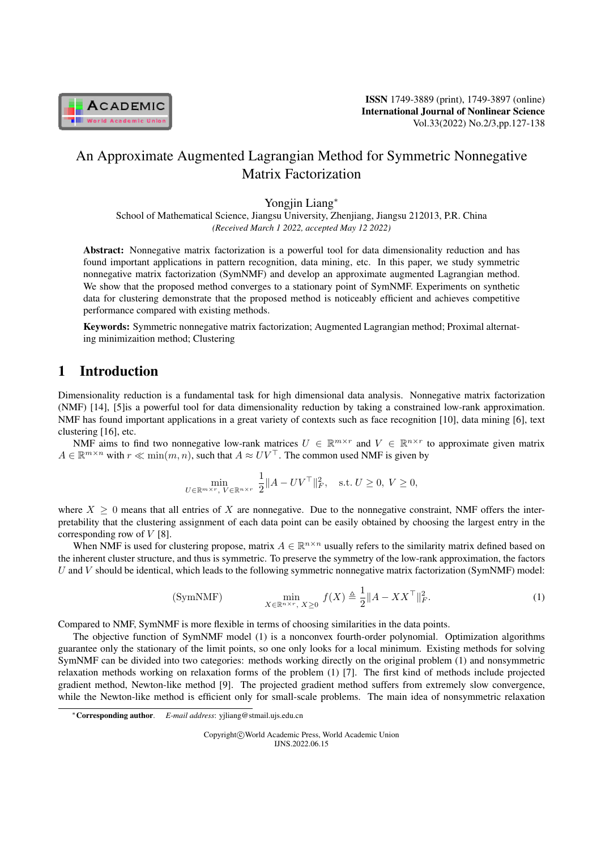

# An Approximate Augmented Lagrangian Method for Symmetric Nonnegative Matrix Factorization

Yongjin Liang*<sup>∗</sup>*

School of Mathematical Science, Jiangsu University, Zhenjiang, Jiangsu 212013, P.R. China *(Received March 1 2022, accepted May 12 2022)*

Abstract: Nonnegative matrix factorization is a powerful tool for data dimensionality reduction and has found important applications in pattern recognition, data mining, etc. In this paper, we study symmetric nonnegative matrix factorization (SymNMF) and develop an approximate augmented Lagrangian method. We show that the proposed method converges to a stationary point of SymNMF. Experiments on synthetic data for clustering demonstrate that the proposed method is noticeably efficient and achieves competitive performance compared with existing methods.

Keywords: Symmetric nonnegative matrix factorization; Augmented Lagrangian method; Proximal alternating minimizaition method; Clustering

# 1 Introduction

Dimensionality reduction is a fundamental task for high dimensional data analysis. Nonnegative matrix factorization (NMF) [14], [5]is a powerful tool for data dimensionality reduction by taking a constrained low-rank approximation. NMF has found important applications in a great variety of contexts such as face recognition [10], data mining [6], text clustering [16], etc.

NMF aims to find two nonnegative low-rank matrices  $U \in \mathbb{R}^{m \times r}$  and  $V \in \mathbb{R}^{n \times r}$  to approximate given matrix *A* ∈  $\mathbb{R}^{m \times n}$  with *r* ≪ min $(m, n)$ , such that  $A \approx UV$ <sup>T</sup>. The common used NMF is given by

$$
\min_{U \in \mathbb{R}^{m \times r}, V \in \mathbb{R}^{n \times r}} \frac{1}{2} \|A - UV^{\top}\|_{F}^{2}, \quad \text{s.t. } U \ge 0, V \ge 0,
$$

where  $X \geq 0$  means that all entries of X are nonnegative. Due to the nonnegative constraint, NMF offers the interpretability that the clustering assignment of each data point can be easily obtained by choosing the largest entry in the corresponding row of *V* [8].

When NMF is used for clustering propose, matrix  $A \in \mathbb{R}^{n \times n}$  usually refers to the similarity matrix defined based on the inherent cluster structure, and thus is symmetric. To preserve the symmetry of the low-rank approximation, the factors *U* and *V* should be identical, which leads to the following symmetric nonnegative matrix factorization (SymNMF) model:

(SymNMF) 
$$
\min_{X \in \mathbb{R}^{n \times r}, X \ge 0} f(X) \triangleq \frac{1}{2} \|A - XX^{\top}\|_{F}^{2}.
$$
 (1)

Compared to NMF, SymNMF is more flexible in terms of choosing similarities in the data points.

The objective function of SymNMF model (1) is a nonconvex fourth-order polynomial. Optimization algorithms guarantee only the stationary of the limit points, so one only looks for a local minimum. Existing methods for solving SymNMF can be divided into two categories: methods working directly on the original problem (1) and nonsymmetric relaxation methods working on relaxation forms of the problem (1) [7]. The first kind of methods include projected gradient method, Newton-like method [9]. The projected gradient method suffers from extremely slow convergence, while the Newton-like method is efficient only for small-scale problems. The main idea of nonsymmetric relaxation

Copyright*⃝*c World Academic Press, World Academic Union IJNS.2022.06.15

*<sup>∗</sup>*Corresponding author. *E-mail address*: yjliang@stmail.ujs.edu.cn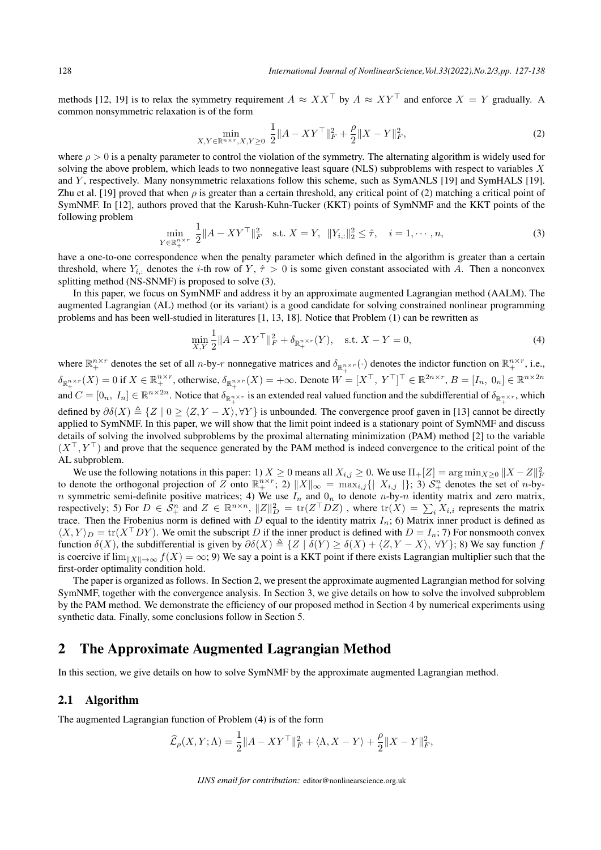methods [12, 19] is to relax the symmetry requirement  $A \approx XX^\top$  by  $A \approx XY^\top$  and enforce  $X = Y$  gradually. A common nonsymmetric relaxation is of the form

$$
\min_{X,Y \in \mathbb{R}^{n \times r}, X,Y \ge 0} \frac{1}{2} \|A - XY^{\top}\|_{F}^{2} + \frac{\rho}{2} \|X - Y\|_{F}^{2},\tag{2}
$$

where  $\rho > 0$  is a penalty parameter to control the violation of the symmetry. The alternating algorithm is widely used for solving the above problem, which leads to two nonnegative least square (NLS) subproblems with respect to variables *X* and *Y* , respectively. Many nonsymmetric relaxations follow this scheme, such as SymANLS [19] and SymHALS [19]. Zhu et al. [19] proved that when  $\rho$  is greater than a certain threshold, any critical point of (2) matching a critical point of SymNMF. In [12], authors proved that the Karush-Kuhn-Tucker (KKT) points of SymNMF and the KKT points of the following problem

$$
\min_{Y \in \mathbb{R}_+^{n \times r}} \frac{1}{2} \|A - XY^\top\|_F^2 \quad \text{s.t. } X = Y, \ \|Y_{i,:}\|_2^2 \le \hat{\tau}, \quad i = 1, \cdots, n,
$$
\n(3)

have a one-to-one correspondence when the penalty parameter which defined in the algorithm is greater than a certain threshold, where  $Y_{i,j}$  denotes the *i*-th row of  $Y, \hat{\tau} > 0$  is some given constant associated with *A*. Then a nonconvex splitting method (NS-SNMF) is proposed to solve (3).

In this paper, we focus on SymNMF and address it by an approximate augmented Lagrangian method (AALM). The augmented Lagrangian (AL) method (or its variant) is a good candidate for solving constrained nonlinear programming problems and has been well-studied in literatures [1, 13, 18]. Notice that Problem (1) can be rewritten as

$$
\min_{X,Y} \frac{1}{2} \|A - XY^{\top}\|_{F}^{2} + \delta_{\mathbb{R}_{+}^{n \times r}}(Y), \quad \text{s.t. } X - Y = 0,
$$
\n(4)

where  $\mathbb{R}^{n \times r}_+$  denotes the set of all *n*-by-*r* nonnegative matrices and  $\delta_{\mathbb{R}^{n \times r}_+}(\cdot)$  denotes the indictor function on  $\mathbb{R}^{n \times r}_+$ , i.e.,  $\delta_{\mathbb{R}^{n\times r}_+}(X)=0$  if  $X\in\mathbb{R}^{n\times r}_+$ , otherwise,  $\delta_{\mathbb{R}^{n\times r}_+}(X)=+\infty$ . Denote  $W=[X^\top, Y^\top]^\top\in\mathbb{R}^{2n\times r}, B=[I_n, 0_n]\in\mathbb{R}^{n\times 2n}$ and  $C = [0_n, I_n] \in \mathbb{R}^{n \times 2n}$ . Notice that  $\delta_{\mathbb{R}^{n \times r}_+}$  is an extended real valued function and the subdifferential of  $\delta_{\mathbb{R}^{n \times r}_+}$ , which defined by  $\partial \delta(X) \triangleq \{Z \mid 0 \ge \langle Z, Y - X \rangle, \forall Y\}$  is unbounded. The convergence proof gaven in [13] cannot be directly applied to SymNMF. In this paper, we will show that the limit point indeed is a stationary point of SymNMF and discuss details of solving the involved subproblems by the proximal alternating minimization (PAM) method [2] to the variable (*X⊤, Y <sup>⊤</sup>*) and prove that the sequence generated by the PAM method is indeed convergence to the critical point of the AL subproblem.

We use the following notations in this paper: 1)  $X \ge 0$  means all  $X_{i,j} \ge 0$ . We use  $\Pi_+[Z] = \arg \min_{X \ge 0} \|X - Z\|_F^2$ to denote the orthogonal projection of Z onto  $\mathbb{R}^{n \times r}_{+}$ ; 2)  $||X||_{\infty} = \max_{i,j} { |X_{i,j}| }$ ; 3)  $\mathcal{S}^{n}_{+}$  denotes the set of *n*-by*n* symmetric semi-definite positive matrices; 4) We use  $I_n$  and  $0_n$  to denote *n*-by-*n* identity matrix and zero matrix, respectively; 5) For  $D \in S^n_+$  and  $Z \in \mathbb{R}^{n \times n}$ ,  $||Z||_D^2 = \text{tr}(Z^T D Z)$ , where  $\text{tr}(X) = \sum_i X_{i,i}$  represents the matrix trace. Then the Frobenius norm is defined with *D* equal to the identity matrix  $I_n$ ; 6) Matrix inner product is defined as  $\langle X, Y \rangle_D = \text{tr}(X^T DY)$ . We omit the subscript *D* if the inner product is defined with  $D = I_n$ ; 7) For nonsmooth convex function  $\delta(X)$ , the subdifferential is given by  $\partial \delta(X) \triangleq \{Z \mid \delta(Y) \geq \delta(X) + \langle Z, Y - X \rangle, \forall Y\};$  8) We say function f is coercive if  $\lim_{\|X\|\to\infty} f(X) = \infty$ ; 9) We say a point is a KKT point if there exists Lagrangian multiplier such that the first-order optimality condition hold.

The paper is organized as follows. In Section 2, we present the approximate augmented Lagrangian method for solving SymNMF, together with the convergence analysis. In Section 3, we give details on how to solve the involved subproblem by the PAM method. We demonstrate the efficiency of our proposed method in Section 4 by numerical experiments using synthetic data. Finally, some conclusions follow in Section 5.

## 2 The Approximate Augmented Lagrangian Method

In this section, we give details on how to solve SymNMF by the approximate augmented Lagrangian method.

#### 2.1 Algorithm

The augmented Lagrangian function of Problem (4) is of the form

$$
\widehat{\mathcal{L}}_{\rho}(X, Y; \Lambda) = \frac{1}{2} ||A - XY^{\top}||_F^2 + \langle \Lambda, X - Y \rangle + \frac{\rho}{2} ||X - Y||_F^2,
$$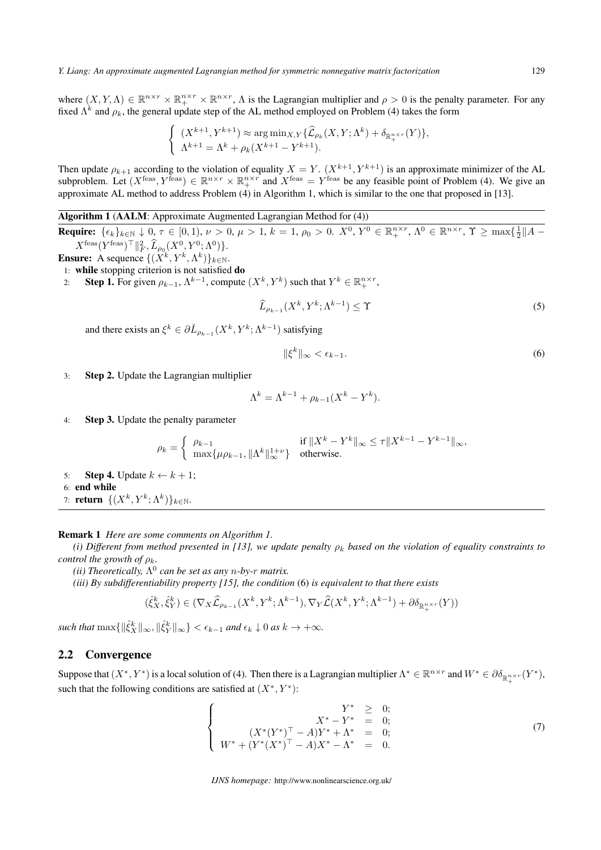where  $(X, Y, \Lambda) \in \mathbb{R}^{n \times r} \times \mathbb{R}^{n \times r} \times \mathbb{R}^{n \times r}$ ,  $\Lambda$  is the Lagrangian multiplier and  $\rho > 0$  is the penalty parameter. For any fixed  $\Lambda^k$  and  $\rho_k$ , the general update step of the AL method employed on Problem (4) takes the form

$$
\begin{cases} (X^{k+1}, Y^{k+1}) \approx \arg \min_{X,Y} {\{\widehat{\mathcal{L}}}_{\rho_k}(X,Y;\Lambda^k) + \delta_{\mathbb{R}^{n\times r}_+}(Y)\}, \\ \Lambda^{k+1} = \Lambda^k + \rho_k (X^{k+1} - Y^{k+1}). \end{cases}
$$

Then update  $\rho_{k+1}$  according to the violation of equality  $X = Y$ .  $(X^{k+1}, Y^{k+1})$  is an approximate minimizer of the AL subproblem. Let  $(X^{\text{feas}}, Y^{\text{feas}}) \in \mathbb{R}^{n \times r} \times \mathbb{R}^{n \times r}$  and  $X^{\text{feas}} = Y^{\text{feas}}$  be any feasible point of Problem (4). We give an approximate AL method to address Problem (4) in Algorithm 1, which is similar to the one that proposed in [13].

## Algorithm 1 (AALM: Approximate Augmented Lagrangian Method for (4))

**Require:**  $\{\epsilon_k\}_{k\in\mathbb{N}}\downarrow 0, \tau \in [0,1), \nu > 0, \mu > 1, k = 1, \rho_0 > 0$ .  $X^0, Y^0 \in \mathbb{R}_+^{n \times r}, \Lambda^0 \in \mathbb{R}^{n \times r}, \Upsilon \ge \max\{\frac{1}{2}||A - \frac{1}{2}||A - \frac{1}{2}||A - \frac{1}{2}||A - \frac{1}{2}||A - \frac{1}{2}||A - \frac{1}{2}||A - \frac{1}{2}||A - \frac{1}{2}||A - \frac{1}{2}||A - \frac{$  $X^{\text{feas}}(Y^{\text{feas}})^{\top} \|_F^2$ ,  $\widehat{L}_{\rho_0}(X^0, Y^0; \Lambda^0)$ .

- **Ensure:** A sequence  $\{(X^k, Y^k, \Lambda^k)\}_{k \in \mathbb{N}}$ .
- 1: while stopping criterion is not satisfied do
- 2: **Step 1.** For given  $\rho_{k-1}$ ,  $\Lambda^{k-1}$ , compute  $(X^k, Y^k)$  such that  $Y^k \in \mathbb{R}_+^{n \times r}$ ,

$$
\widehat{L}_{\rho_{k-1}}(X^k, Y^k; \Lambda^{k-1}) \le \Upsilon \tag{5}
$$

and there exists an  $\xi^k \in \partial \check{L}_{\rho_{k-1}}(X^k, Y^k; \Lambda^{k-1})$  satisfying

$$
\|\xi^k\|_{\infty} < \epsilon_{k-1}.\tag{6}
$$

3: Step 2. Update the Lagrangian multiplier

$$
\Lambda^k = \Lambda^{k-1} + \rho_{k-1}(X^k - Y^k).
$$

4: Step 3. Update the penalty parameter

$$
\rho_k = \begin{cases} \rho_{k-1} & \text{if } \|X^k - Y^k\|_{\infty} \le \tau \|X^{k-1} - Y^{k-1}\|_{\infty}, \\ \max\{\mu \rho_{k-1}, \|\Lambda^k\|_{\infty}^{1+\nu}\} & \text{otherwise.} \end{cases}
$$

- 5: **Step 4.** Update  $k \leftarrow k + 1$ ; 6: end while 7: **return**  $\{(X^k, Y^k; \Lambda^k)\}_{k \in \mathbb{N}}$ .
- Remark 1 *Here are some comments on Algorithm 1.*

*(i) Different from method presented in [13], we update penalty*  $\rho_k$  *based on the violation of equality constraints to control the growth of*  $\rho_k$ *.* 

*(ii)* Theoretically,  $\Lambda^0$  can be set as any *n*-by-*r* matrix.

*(iii) By subdifferentiability property [15], the condition* (6) *is equivalent to that there exists*

$$
(\hat{\xi}_X^k, \hat{\xi}_Y^k) \in (\nabla_X \hat{\mathcal{L}}_{\rho_{k-1}}(X^k, Y^k; \Lambda^{k-1}), \nabla_Y \hat{\mathcal{L}}(X^k, Y^k; \Lambda^{k-1}) + \partial \delta_{\mathbb{R}_+^{n \times r}}(Y))
$$

such that  $\max\{\|\hat{\xi}_X^k\|_{\infty}, \|\hat{\xi}_Y^k\|_{\infty}\} < \epsilon_{k-1}$  and  $\epsilon_k \downarrow 0$  as  $k \to +\infty$ .

### 2.2 Convergence

Suppose that  $(X^*, Y^*)$  is a local solution of (4). Then there is a Lagrangian multiplier  $\Lambda^* \in \mathbb{R}^{n \times r}$  and  $W^* \in \partial \delta_{\mathbb{R}^{n \times r}_+}(Y^*)$ , such that the following conditions are satisfied at  $(X^*, Y^*)$ :

$$
\begin{cases}\nY^* & \geq 0; \\
X^* - Y^* & = 0; \\
W^* + (Y^*(X^*)^\top - A)Y^* + \Lambda^* & = 0; \\
W^* + (Y^*(X^*)^\top - A)X^* - \Lambda^* & = 0.\n\end{cases} (7)
$$

*IJNS homepage:* http://www.nonlinearscience.org.uk/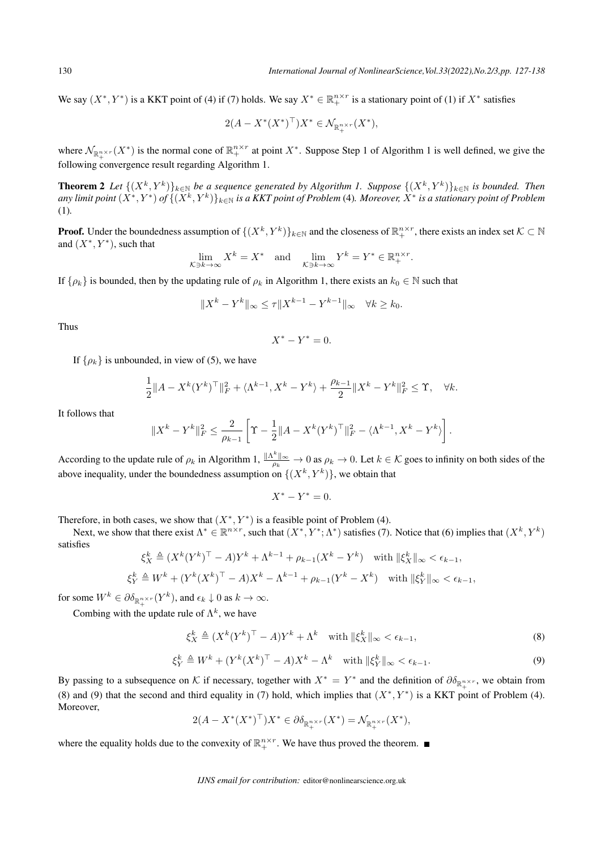We say  $(X^*, Y^*)$  is a KKT point of (4) if (7) holds. We say  $X^* \in \mathbb{R}_+^{n \times r}$  is a stationary point of (1) if  $X^*$  satisfies

$$
2(A - X^*(X^*)^{\top})X^* \in \mathcal{N}_{\mathbb{R}_+^{n \times r}}(X^*),
$$

where  $\mathcal{N}_{\mathbb{R}^{n\times r}_+}(X^*)$  is the normal cone of  $\mathbb{R}^{n\times r}_+$  at point  $X^*$ . Suppose Step 1 of Algorithm 1 is well defined, we give the following convergence result regarding Algorithm 1.

**Theorem 2** Let  $\{(X^k, Y^k)\}_{k\in\mathbb{N}}$  be a sequence generated by Algorithm 1. Suppose  $\{(X^k, Y^k)\}_{k\in\mathbb{N}}$  is bounded. Then any limit point  $(X^*,Y^*)$  of  $\{(X^k,Y^k)\}_{k\in\mathbb{N}}$  is a KKT point of Problem (4). Moreover,  $X^*$  is a stationary point of Problem (1)*.*

**Proof.** Under the boundedness assumption of  $\{(X^k, Y^k)\}_{k \in \mathbb{N}}$  and the closeness of  $\mathbb{R}^{n \times r}_+$ , there exists an index set  $K \subset \mathbb{N}$ and  $(X^*, Y^*)$ , such that

$$
\lim_{\mathcal{K}\ni k\to\infty} X^k = X^* \quad \text{and} \quad \lim_{\mathcal{K}\ni k\to\infty} Y^k = Y^* \in \mathbb{R}_+^{n \times r}.
$$

If  $\{\rho_k\}$  is bounded, then by the updating rule of  $\rho_k$  in Algorithm 1, there exists an  $k_0 \in \mathbb{N}$  such that

$$
||X^{k} - Y^{k}||_{\infty} \le \tau ||X^{k-1} - Y^{k-1}||_{\infty} \quad \forall k \ge k_0.
$$

Thus

$$
X^* - Y^* = 0.
$$

If  $\{\rho_k\}$  is unbounded, in view of (5), we have

$$
\frac{1}{2}||A - X^{k}(Y^{k})^{\top}||_{F}^{2} + \langle \Lambda^{k-1}, X^{k} - Y^{k} \rangle + \frac{\rho_{k-1}}{2}||X^{k} - Y^{k}||_{F}^{2} \leq \Upsilon, \quad \forall k.
$$

It follows that

$$
||X^{k}-Y^{k}||_{F}^{2}\leq \frac{2}{\rho_{k-1}}\left[\Upsilon-\frac{1}{2}||A-X^{k}(Y^{k})^{\top}||_{F}^{2}-\langle \Lambda^{k-1}, X^{k}-Y^{k}\rangle\right].
$$

According to the update rule of  $\rho_k$  in Algorithm 1,  $\frac{\|A^k\|_{\infty}}{\rho_k} \to 0$  as  $\rho_k \to 0$ . Let  $k \in \mathcal{K}$  goes to infinity on both sides of the above inequality, under the boundedness assumption on  $\{(X^k, Y^k)\}\)$ , we obtain that

 $X^* - Y^* = 0.$ 

Therefore, in both cases, we show that  $(X^*, Y^*)$  is a feasible point of Problem (4).

Next, we show that there exist  $\Lambda^* \in \mathbb{R}^{n \times r}$ , such that  $(X^*, Y^*; \Lambda^*)$  satisfies (7). Notice that (6) implies that  $(X^k, Y^k)$ satisfies

$$
\xi_X^k \triangleq (X^k (Y^k)^\top - A) Y^k + \Lambda^{k-1} + \rho_{k-1} (X^k - Y^k) \quad \text{with } \| \xi_X^k \|_{\infty} < \epsilon_{k-1},
$$
\n
$$
\xi_Y^k \triangleq W^k + (Y^k (X^k)^\top - A) X^k - \Lambda^{k-1} + \rho_{k-1} (Y^k - X^k) \quad \text{with } \| \xi_Y^k \|_{\infty} < \epsilon_{k-1},
$$

for some  $W^k \in \partial \delta_{\mathbb{R}^{n \times r}_+}(Y^k)$ , and  $\epsilon_k \downarrow 0$  as  $k \to \infty$ .

Combing with the update rule of  $\Lambda^k$ , we have

$$
\xi_X^k \triangleq (X^k (Y^k)^\top - A) Y^k + \Lambda^k \quad \text{with } \|\xi_X^k\|_{\infty} < \epsilon_{k-1},\tag{8}
$$

$$
\xi_Y^k \triangleq W^k + (Y^k (X^k)^\top - A) X^k - \Lambda^k \quad \text{with } \|\xi_Y^k\|_\infty < \epsilon_{k-1}.\tag{9}
$$

By passing to a subsequence on  $K$  if necessary, together with  $X^* = Y^*$  and the definition of  $\partial \delta_{\mathbb{R}^{n \times r}_+}$ , we obtain from (8) and (9) that the second and third equality in (7) hold, which implies that  $(X^*, Y^*)$  is a KKT point of Problem (4). Moreover,

$$
2(A - X^*(X^*)^\top)X^* \in \partial \delta_{\mathbb{R}^{n \times r}_+}(X^*) = \mathcal{N}_{\mathbb{R}^{n \times r}_+}(X^*),
$$

where the equality holds due to the convexity of  $\mathbb{R}^{n \times r}_{+}$ . We have thus proved the theorem.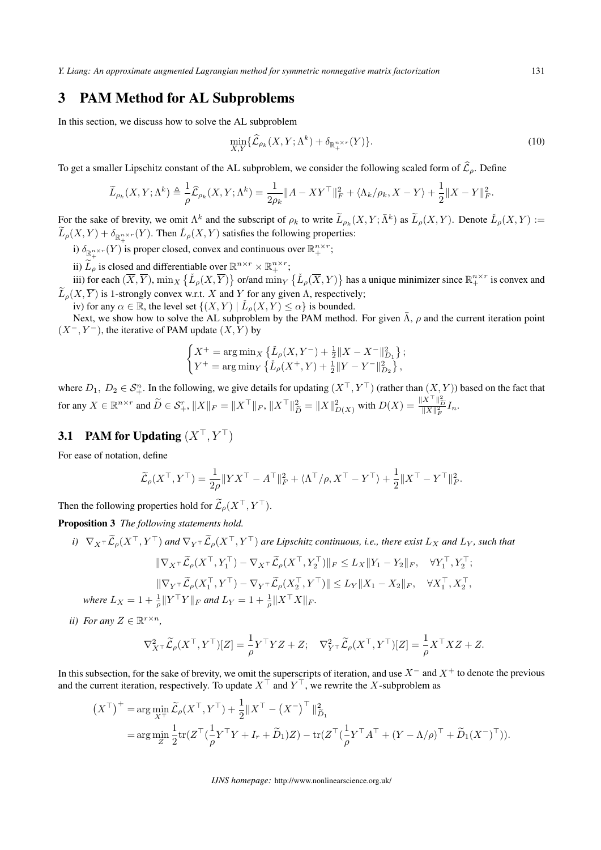*Y. Liang: An approximate augmented Lagrangian method for symmetric nonnegative matrix factorization* 131

# 3 PAM Method for AL Subproblems

In this section, we discuss how to solve the AL subproblem

$$
\min_{X,Y} \{\widehat{\mathcal{L}}_{\rho_k}(X,Y;\Lambda^k) + \delta_{\mathbb{R}^{n\times r}_+(Y)}\}.
$$
\n(10)

To get a smaller Lipschitz constant of the AL subproblem, we consider the following scaled form of  $\hat{\mathcal{L}}_{\rho}$ . Define

$$
\widetilde{L}_{\rho_k}(X,Y;\Lambda^k) \triangleq \frac{1}{\rho} \widehat{\mathcal{L}}_{\rho_k}(X,Y;\Lambda^k) = \frac{1}{2\rho_k} \|A - XY^\top\|_F^2 + \langle \Lambda_k/\rho_k, X - Y \rangle + \frac{1}{2} \|X - Y\|_F^2.
$$

For the sake of brevity, we omit  $\Lambda^k$  and the subscript of  $\rho_k$  to write  $\widetilde{L}_{\rho_k}(X, Y; \overline{\Lambda}^k)$  as  $\widetilde{L}_{\rho}(X, Y)$ . Denote  $\check{L}_{\rho}(X, Y) :=$  $\widetilde{L}_{\rho}(X, Y) + \delta_{\mathbb{R}^{n \times r}_+}(Y)$ . Then  $\check{L}_{\rho}(X, Y)$  satisfies the following properties:

i)  $\delta_{\mathbb{R}^{n \times r}_+}(Y)$  is proper closed, convex and continuous over  $\mathbb{R}^{n \times r}_+$ ;

ii)  $\widetilde{L}_{\rho}$  is closed and differentiable over  $\mathbb{R}^{n \times r} \times \mathbb{R}^{n \times r}$ ;

iii) for each  $(\overline{X}, \overline{Y})$ ,  $\min_X \{ \check{L}_{\rho}(X, \overline{Y}) \}$  or/and  $\min_Y \{ \check{L}_{\rho}(\overline{X}, Y) \}$  has a unique minimizer since  $\mathbb{R}^{n \times r}_+$  is convex and  $\widetilde{L}_p(X, \overline{Y})$  is 1-strongly convex w.r.t. *X* and *Y* for any given Λ, respectively;

iv) for any  $\alpha \in \mathbb{R}$ , the level set  $\{(X, Y) \mid \check{L}_{\rho}(X, Y) \leq \alpha\}$  is bounded.

Next, we show how to solve the AL subproblem by the PAM method. For given  $\bar{\Lambda}$ ,  $\rho$  and the current iteration point (*X−, Y <sup>−</sup>*), the iterative of PAM update (*X, Y* ) by

$$
\begin{cases} X^+ = \arg\min_X \left\{ \check{L}_{\rho}(X,Y^-) + \frac{1}{2} \|X-X^-\|_{D_1}^2 \right\}; \\ Y^+ = \arg\min_Y \left\{ \check{L}_{\rho}(X^+,Y) + \frac{1}{2} \|Y-Y^-\|_{D_2}^2 \right\}, \end{cases}
$$

where  $D_1, D_2 \in S_+^n$ . In the following, we give details for updating  $(X,^{\top}, Y^{\top})$  (rather than  $(X, Y)$ ) based on the fact that for any  $X \in \mathbb{R}^{n \times r}$  and  $\widetilde{D} \in \mathcal{S}_+^r$ ,  $||X||_F = ||X^\top||_F$ ,  $||X^\top||^2_{\widetilde{D}} = ||X||^2_{D(X)}$  with  $D(X) = \frac{||X^\top||^2_{\widetilde{D}}}{||X||^2_F} I_n$ .

## 3.1 PAM for Updating  $(X^{\top}, Y^{\top})$

For ease of notation, define

$$
\widetilde{\mathcal{L}}_{\rho}(X^{\top}, Y^{\top}) = \frac{1}{2\rho} \|Y X^{\top} - A^{\top}\|_F^2 + \langle \Lambda^{\top}/\rho, X^{\top} - Y^{\top} \rangle + \frac{1}{2} \|X^{\top} - Y^{\top}\|_F^2.
$$

Then the following properties hold for  $\widetilde{L}_{\rho}(X^{\top}, Y^{\top})$ .

Proposition 3 *The following statements hold.*

i)  $\nabla_X \tau \widetilde{\mathcal{L}}_{\rho}(X^{\top}, Y^{\top})$  and  $\nabla_Y \tau \widetilde{\mathcal{L}}_{\rho}(X^{\top}, Y^{\top})$  are Lipschitz continuous, i.e., there exist  $L_X$  and  $L_Y$ , such that

$$
\|\nabla_{X}\tau\widetilde{\mathcal{L}}_{\rho}(X^{\top}, Y_{1}^{\top}) - \nabla_{X}\tau\widetilde{\mathcal{L}}_{\rho}(X^{\top}, Y_{2}^{\top})\|_{F} \leq L_{X}\|Y_{1} - Y_{2}\|_{F}, \quad \forall Y_{1}^{\top}, Y_{2}^{\top};
$$

$$
\|\nabla_{Y}\tau\widetilde{\mathcal{L}}_{\rho}(X_{1}^{\top}, Y^{\top}) - \nabla_{Y}\tau\widetilde{\mathcal{L}}_{\rho}(X_{2}^{\top}, Y^{\top})\| \leq L_{Y}\|X_{1} - X_{2}\|_{F}, \quad \forall X_{1}^{\top}, X_{2}^{\top},
$$
ere I<sub>1</sub> +  $1\|V^{\top}V\|_{F}$  and I<sub>Y</sub> =  $1 + \frac{1}{2}\|Y^{\top}Y\|_{F}$ .

*where*  $L_X = 1 + \frac{1}{\rho} ||Y^{\top}Y||_F$  and  $L_Y = 1 + \frac{1}{\rho} ||X^{\top}X||_F$ .

*ii*) *For any*  $Z \in \mathbb{R}^{r \times n}$ *,* 

$$
\nabla_{X}^2 \tilde{\mathcal{L}}_{\rho}(X^{\top}, Y^{\top})[Z] = \frac{1}{\rho} Y^{\top} YZ + Z; \quad \nabla_{Y^{\top}}^2 \tilde{\mathcal{L}}_{\rho}(X^{\top}, Y^{\top})[Z] = \frac{1}{\rho} X^{\top} XZ + Z.
$$

In this subsection, for the sake of brevity, we omit the superscripts of iteration, and use *X<sup>−</sup>* and *X*<sup>+</sup> to denote the previous and the current iteration, respectively. To update *X<sup>⊤</sup>* and *Y <sup>⊤</sup>*, we rewrite the *X*-subproblem as

$$
(X^{\top})^+ = \arg\min_{X^{\top}} \widetilde{\mathcal{L}}_{\rho}(X^{\top}, Y^{\top}) + \frac{1}{2} \|X^{\top} - (X^{-})^{\top}\|_{\widetilde{D}_1}^2
$$
  
= 
$$
\arg\min_{Z} \frac{1}{2} \text{tr}(Z^{\top}(\frac{1}{\rho}Y^{\top}Y + I_r + \widetilde{D}_1)Z) - \text{tr}(Z^{\top}(\frac{1}{\rho}Y^{\top}A^{\top} + (Y - \Lambda/\rho)^{\top} + \widetilde{D}_1(X^{-})^{\top})).
$$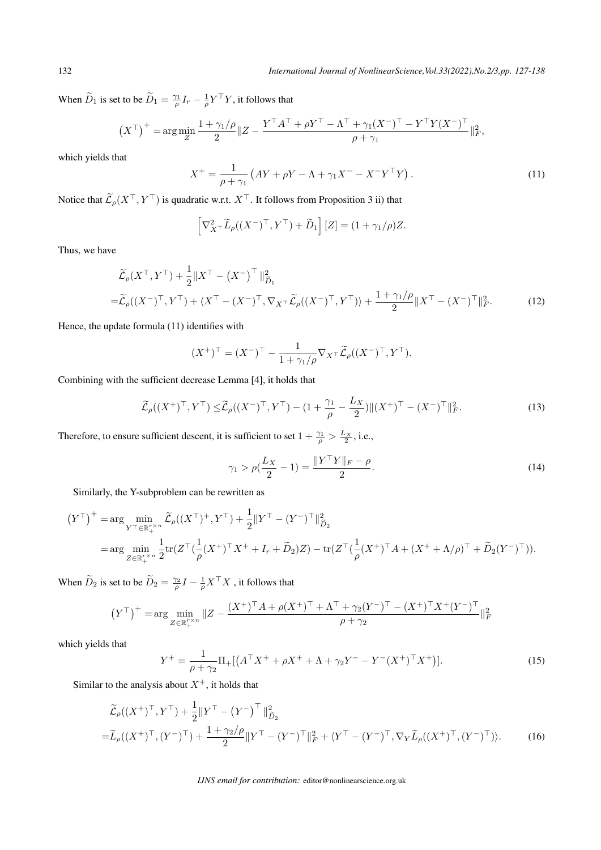When  $\widetilde{D}_1$  is set to be  $\widetilde{D}_1 = \frac{\gamma_1}{\rho} I_r - \frac{1}{\rho} Y^\top Y$ , it follows that

$$
(X^{\top})^+ = \arg\min_{Z} \frac{1+\gamma_1/\rho}{2} \|Z - \frac{Y^{\top}A^{\top} + \rho Y^{\top} - \Lambda^{\top} + \gamma_1 (X^{\top})^{\top} - Y^{\top} Y (X^{\top})^{\top}}{\rho + \gamma_1} \|_F^2,
$$

which yields that

$$
X^{+} = \frac{1}{\rho + \gamma_1} \left( AY + \rho Y - \Lambda + \gamma_1 X^{-} - X^{-} Y^{+} Y \right). \tag{11}
$$

Notice that  $\widetilde{L}_{\rho}(X^{\top}, Y^{\top})$  is quadratic w.r.t.  $X^{\top}$ . It follows from Proposition 3 ii) that

$$
\left[\nabla_{X}^{2} \tilde{L}_{\rho}((X^{-})^{\top}, Y^{\top}) + \tilde{D}_{1}\right][Z] = (1 + \gamma_{1}/\rho)Z.
$$

Thus, we have

$$
\widetilde{\mathcal{L}}_{\rho}(X^{\top}, Y^{\top}) + \frac{1}{2} \|X^{\top} - (X^{-})^{\top}\|_{\widetilde{D}_{1}}^{2}
$$
\n
$$
= \widetilde{\mathcal{L}}_{\rho}((X^{-})^{\top}, Y^{\top}) + \langle X^{\top} - (X^{-})^{\top}, \nabla_{X^{\top}} \widetilde{\mathcal{L}}_{\rho}((X^{-})^{\top}, Y^{\top}) \rangle + \frac{1 + \gamma_{1}/\rho}{2} \|X^{\top} - (X^{-})^{\top}\|_{F}^{2}.
$$
\n(12)

Hence, the update formula (11) identifies with

$$
(X^+)^\top = (X^-)^\top - \frac{1}{1 + \gamma_1/\rho} \nabla_{X^\top} \widetilde{\mathcal{L}}_{\rho}((X^-)^\top, Y^\top).
$$

Combining with the sufficient decrease Lemma [4], it holds that

$$
\widetilde{\mathcal{L}}_{\rho}((X^+)^{\top}, Y^{\top}) \leq \widetilde{\mathcal{L}}_{\rho}((X^-)^{\top}, Y^{\top}) - (1 + \frac{\gamma_1}{\rho} - \frac{L_X}{2}) \| (X^+)^{\top} - (X^-)^{\top} \|_F^2.
$$
\n(13)

Therefore, to ensure sufficient descent, it is sufficient to set  $1 + \frac{\gamma_1}{\rho} > \frac{L_X}{2}$ , i.e.,

$$
\gamma_1 > \rho(\frac{L_X}{2} - 1) = \frac{\|Y^\top Y\|_F - \rho}{2}.
$$
\n(14)

Similarly, the Y-subproblem can be rewritten as

$$
(Y^{\top})^{+} = \arg \min_{Y^{\top} \in \mathbb{R}_{+}^{r \times n}} \widetilde{\mathcal{L}}_{\rho}((X^{\top})^{+}, Y^{\top}) + \frac{1}{2} ||Y^{\top} - (Y^{-})^{\top}||_{\widetilde{D}_{2}}^{2}
$$
  
= 
$$
\arg \min_{Z \in \mathbb{R}_{+}^{r \times n}} \frac{1}{2} tr(Z^{\top}(\frac{1}{\rho}(X^{+})^{\top} X^{+} + I_{r} + \widetilde{D}_{2})Z) - tr(Z^{\top}(\frac{1}{\rho}(X^{+})^{\top} A + (X^{+} + \Lambda/\rho)^{\top} + \widetilde{D}_{2}(Y^{-})^{\top})).
$$

When  $\widetilde{D}_2$  is set to be  $\widetilde{D}_2 = \frac{\gamma_2}{\rho} I - \frac{1}{\rho} X^\top X$ , it follows that

$$
(Y^{\top})^{+} = \arg\min_{Z \in \mathbb{R}_{+}^{r \times n}} \|Z - \frac{(X^{+})^{\top} A + \rho (X^{+})^{\top} + \Lambda^{\top} + \gamma_{2} (Y^{-})^{\top} - (X^{+})^{\top} X^{+} (Y^{-})^{\top}}{\rho + \gamma_{2}} \|_{F}^{2}
$$

which yields that

$$
Y^{+} = \frac{1}{\rho + \gamma_{2}} \Pi_{+}[(A^{\top} X^{+} + \rho X^{+} + \Lambda + \gamma_{2} Y^{-} - Y^{-} (X^{+})^{\top} X^{+})]. \tag{15}
$$

Similar to the analysis about  $X^+$ , it holds that

$$
\tilde{\mathcal{L}}_{\rho}((X^{+})^{\top}, Y^{\top}) + \frac{1}{2} \| Y^{\top} - (Y^{-})^{\top} \|_{\tilde{D}_{2}}^{2}
$$
\n
$$
= \tilde{L}_{\rho}((X^{+})^{\top}, (Y^{-})^{\top}) + \frac{1 + \gamma_{2} / \rho}{2} \| Y^{\top} - (Y^{-})^{\top} \|_{F}^{2} + \langle Y^{\top} - (Y^{-})^{\top}, \nabla_{Y} \tilde{L}_{\rho}((X^{+})^{\top}, (Y^{-})^{\top}) \rangle. \tag{16}
$$

#### *IJNS email for contribution:* editor@nonlinearscience.org.uk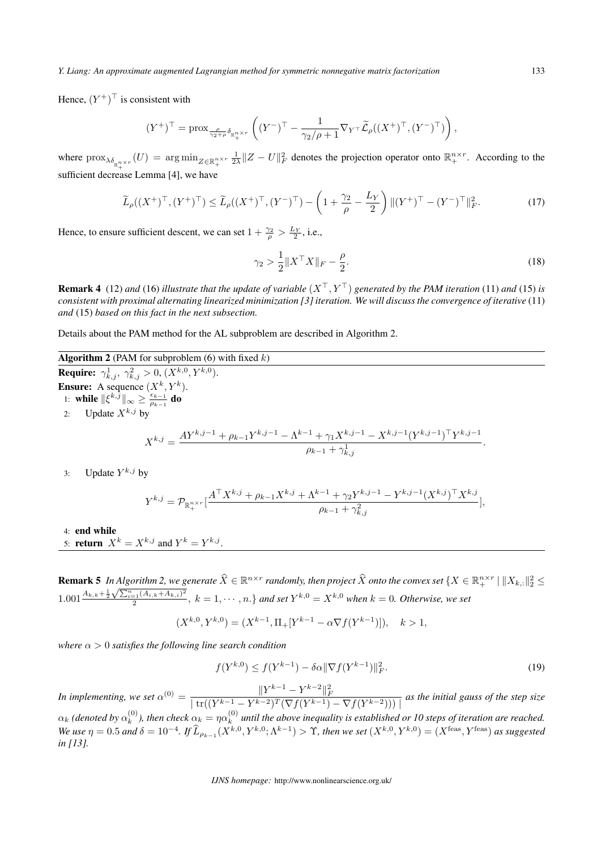Hence,  $(Y^+)^{\top}$  is consistent with

$$
(Y^+)^\top=\mathrm{prox}_{\frac{\rho}{\gamma_2+\rho}\delta_{\mathbb{R}^{n\times r}_+}}\left((Y^-)^\top-\frac{1}{\gamma_2/\rho+1}\nabla_{Y^\top}\widetilde{\mathcal{L}}_\rho((X^+)^\top,(Y^-)^\top)\right),
$$

where  $\mathrm{prox}_{\lambda \delta_{\mathbb{R}^{n\times r}_+}}(U) = \argmin_{Z \in \mathbb{R}^{n\times r}_+}$  $\frac{1}{2\lambda}$   $||Z - U||_F^2$  denotes the projection operator onto  $\mathbb{R}^{n \times r}_+$ . According to the sufficient decrease Lemma [4], we have

$$
\widetilde{L}_{\rho}((X^+)^{\top}, (Y^+)^{\top}) \le \widetilde{L}_{\rho}((X^+)^{\top}, (Y^-)^{\top}) - \left(1 + \frac{\gamma_2}{\rho} - \frac{L_Y}{2}\right) \|(Y^+)^{\top} - (Y^-)^{\top}\|_F^2. \tag{17}
$$

Hence, to ensure sufficient descent, we can set  $1 + \frac{\gamma_2}{\rho} > \frac{L_Y}{2}$ , i.e.,

$$
\gamma_2 > \frac{1}{2} \| X^\top X \|_F - \frac{\rho}{2}.
$$
\n(18)

**Remark 4** (12) and (16) *illustrate that the update of variable*  $(X^{\top}, Y^{\top})$  generated by the PAM iteration (11) and (15) is *consistent with proximal alternating linearized minimization [3] iteration. We will discuss the convergence of iterative* (11) *and* (15) *based on this fact in the next subsection.*

Details about the PAM method for the AL subproblem are described in Algorithm 2.

Algorithm 2 (PAM for subproblem (6) with fixed *k*) **Require:**  $\gamma^1_{k,j}, \; \gamma^2_{k,j} > 0, \, (X^{k,0}, Y^{k,0}).$ **Ensure:** A sequence  $(X^k, Y^k)$ . 1: while  $\|\xi^{k,\overline{j}}\|_{\infty} \ge \frac{\epsilon_{k-1}}{\rho_{k-1}}$  $\frac{\epsilon_{k-1}}{\rho_{k-1}}$  do 2: Update  $X^{k,j}$  by  $X^{k,j} = \frac{AY^{k,j-1} + \rho_{k-1}Y^{k,j-1} - \Lambda^{k-1} + \gamma_1 X^{k,j-1} - X^{k,j-1}(Y^{k,j-1})^\top Y^{k,j-1}}{1 - Y^{k,j-1}(Y^{k,j-1})}$  $\rho_{k-1} + \gamma_{k,j}^1$ *.*

3: Update  $Y^{k,j}$  by

$$
Y^{k,j} = \mathcal{P}_{\mathbb{R}_+^{n \times r}}[\frac{A^\top X^{k,j} + \rho_{k-1} X^{k,j} + \Lambda^{k-1} + \gamma_2 Y^{k,j-1} - Y^{k,j-1} (X^{k,j})^\top X^{k,j}}{\rho_{k-1} + \gamma_{k,j}^2}],
$$

4: end while

5: **return**  $X^k = X^{k,j}$  and  $Y^k = Y^{k,j}$ .

**Remark 5** In Algorithm 2, we generate  $\widehat{X} \in \mathbb{R}^{n \times r}$  randomly, then project  $\widehat{X}$  onto the convex set  $\{X \in \mathbb{R}^{n \times r}_+ \mid \|X_{k,:}\|_2^2 \leq \ell\}$ 1.001 $\frac{A_{k,k}+\frac{1}{2}\sqrt{\sum_{i=1}^{n}(A_{i,k}+A_{k,i})^2}}{2}$  $\frac{1}{2} \sum_{k=1}^{n} (A_{i,k} + A_{k,i})^2$ ,  $k = 1, \cdots, n$ . } and set  $Y^{k,0} = X^{k,0}$  when  $k = 0$ . Otherwise, we set

$$
(X^{k,0}, Y^{k,0}) = (X^{k-1}, \Pi_+[Y^{k-1} - \alpha \nabla f(Y^{k-1})]), \quad k > 1,
$$

*where α >* 0 *satisfies the following line search condition*

$$
f(Y^{k,0}) \le f(Y^{k-1}) - \delta \alpha \|\nabla f(Y^{k-1})\|_F^2. \tag{19}
$$

In implementing, we set  $\alpha^{(0)} = \frac{\|Y^{k-1} - Y^{k-2}\|_F^2}{\left|\operatorname{tr}((Y^{k-1} - Y^{k-2})^T (\nabla f(Y^{k-1}) - \nabla f(Y^{k-2})))\right|}$  as the initial gauss of the step size  $\alpha_k$  (denoted by  $\alpha_k^{(0)}$  $\binom{0}{k}$ , then check  $\alpha_k = \eta \alpha_k^{(0)}$ *k until the above inequality is established or 10 steps of iteration are reached.* We use  $\eta = 0.5$  and  $\delta = 10^{-4}$ . If  $\widehat{L}_{\rho_{k-1}}(X^{k,0}, Y^{k,0}; \Lambda^{k-1}) > \Upsilon$ , then we set  $(X^{k,0}, Y^{k,0}) = (X^{\text{feas}}, Y^{\text{feas}})$  as suggested *in [13].*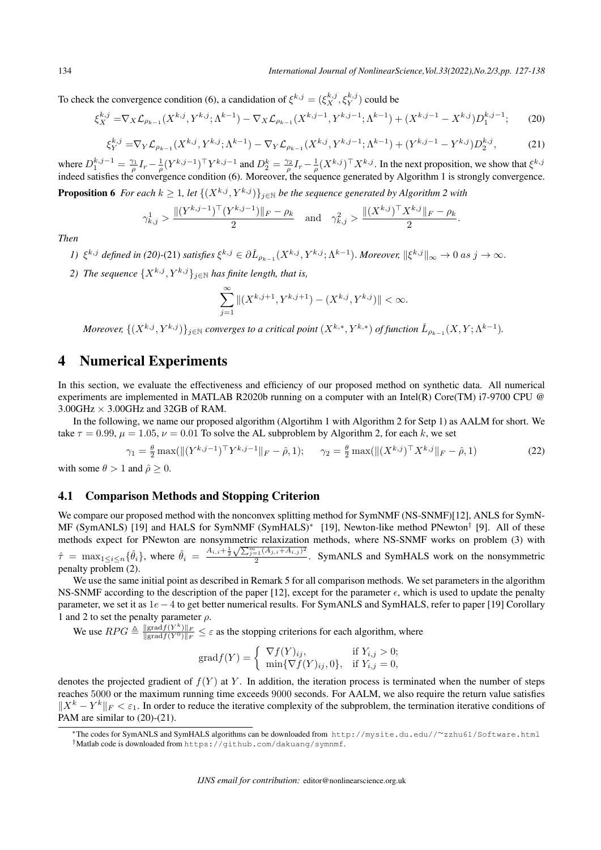To check the convergence condition (6), a candidation of  $\xi^{k,j} = (\xi^{k,j}_X, \xi^{k,j}_Y)$  could be

$$
\xi_X^{k,j} = \nabla_X \mathcal{L}_{\rho_{k-1}}(X^{k,j}, Y^{k,j}; \Lambda^{k-1}) - \nabla_X \mathcal{L}_{\rho_{k-1}}(X^{k,j-1}, Y^{k,j-1}; \Lambda^{k-1}) + (X^{k,j-1} - X^{k,j})D_1^{k,j-1};\tag{20}
$$

$$
\xi_Y^{k,j} = \nabla_Y \mathcal{L}_{\rho_{k-1}}(X^{k,j}, Y^{k,j}; \Lambda^{k-1}) - \nabla_Y \mathcal{L}_{\rho_{k-1}}(X^{k,j}, Y^{k,j-1}; \Lambda^{k-1}) + (Y^{k,j-1} - Y^{k,j})D_2^{k,j},\tag{21}
$$

where  $D_1^{k,j-1} = \frac{\gamma_1}{\rho} I_r - \frac{1}{\rho} (Y^{k,j-1})^\top Y^{k,j-1}$  and  $D_2^k = \frac{\gamma_2}{\rho} I_r - \frac{1}{\rho} (X^{k,j})^\top X^{k,j}$ . In the next proposition, we show that  $\xi^{k,j}$ indeed satisfies the convergence condition (6). Moreover, the sequence generated by Algorithm 1 is strongly convergence.

**Proposition 6** *For each*  $k \geq 1$ *, let*  $\{(X^{k,j}, Y^{k,j})\}_{j \in \mathbb{N}}$  *be the sequence generated by Algorithm 2 with* 

$$
\gamma_{k,j}^1 > \frac{\| (Y^{k,j-1})^\top (Y^{k,j-1}) \|_F - \rho_k}{2} \quad \text{and} \quad \gamma_{k,j}^2 > \frac{\| (X^{k,j})^\top X^{k,j} \|_F - \rho_k}{2}.
$$

*Then*

1)  $\xi^{k,j}$  defined in (20)-(21) satisfies  $\xi^{k,j} \in \partial \check{L}_{\rho_{k-1}}(X^{k,j},Y^{k,j};\Lambda^{k-1})$ . Moreover,  $\|\xi^{k,j}\|_{\infty} \to 0$  as  $j \to \infty$ .

*2) The sequence*  $\{X^{k,j}, Y^{k,j}\}_{j \in \mathbb{N}}$  *has finite length, that is,* 

$$
\sum_{j=1}^{\infty} \left\| (X^{k,j+1}, Y^{k,j+1}) - (X^{k,j}, Y^{k,j}) \right\| < \infty.
$$

Moreover,  $\{(X^{k,j}, Y^{k,j})\}_{j\in\mathbb{N}}$  converges to a critical point  $(X^{k,*}, Y^{k,*})$  of function  $\check{L}_{\rho_{k-1}}(X, Y; \Lambda^{k-1})$ .

## 4 Numerical Experiments

In this section, we evaluate the effectiveness and efficiency of our proposed method on synthetic data. All numerical experiments are implemented in MATLAB R2020b running on a computer with an Intel(R) Core(TM) i7-9700 CPU  $@$ 3.00GHz *×* 3.00GHz and 32GB of RAM.

In the following, we name our proposed algorithm (Algortihm 1 with Algorithm 2 for Setp 1) as AALM for short. We take  $\tau = 0.99$ ,  $\mu = 1.05$ ,  $\nu = 0.01$  To solve the AL subproblem by Algorithm 2, for each *k*, we set

$$
\gamma_1 = \frac{\theta}{2} \max(\|(Y^{k,j-1})^\top Y^{k,j-1}\|_F - \hat{\rho}, 1); \quad \gamma_2 = \frac{\theta}{2} \max(\|(X^{k,j})^\top X^{k,j}\|_F - \hat{\rho}, 1)
$$
(22)

with some  $\theta > 1$  and  $\hat{\rho} \ge 0$ .

### 4.1 Comparison Methods and Stopping Criterion

We compare our proposed method with the nonconvex splitting method for SymNMF (NS-SNMF)[12], ANLS for SymN-MF (SymANLS) [19] and HALS for SymNMF (SymHALS)*<sup>∗</sup>* [19], Newton-like method PNewton*†* [9]. All of these methods expect for PNewton are nonsymmetric relaxization methods, where NS-SNMF works on problem (3) with  $\hat{\tau} = \max_{1 \le i \le n} {\hat{\theta}_i}$ , where  $\hat{\theta}_i = \frac{A_{i,i} + \frac{1}{2}\sqrt{\sum_{j=1}^m (A_{j,i} + A_{i,j})^2}}{2}$  $\frac{2}{2}$ . SymANLS and SymHALS work on the nonsymmetric penalty problem (2).

We use the same initial point as described in Remark 5 for all comparison methods. We set parameters in the algorithm NS-SNMF according to the description of the paper [12], except for the parameter  $\epsilon$ , which is used to update the penalty parameter, we set it as 1*e −* 4 to get better numerical results. For SymANLS and SymHALS, refer to paper [19] Corollary 1 and 2 to set the penalty parameter *ρ*.

We use  $RPG \triangleq \frac{\|gradf(Y^k)\|_F}{\|gradf(Y^0)\|_F} \leq \varepsilon$  as the stopping criterions for each algorithm, where

$$
\text{grad} f(Y) = \begin{cases} \nabla f(Y)_{ij}, & \text{if } Y_{i,j} > 0; \\ \n\min\{\nabla f(Y)_{ij}, 0\}, & \text{if } Y_{i,j} = 0, \n\end{cases}
$$

denotes the projected gradient of  $f(Y)$  at Y. In addition, the iteration process is terminated when the number of steps reaches 5000 or the maximum running time exceeds 9000 seconds. For AALM, we also require the return value satisfies *|X*<sup>*k*</sup> − *Y*<sup>*k*</sup> |*F* < *ε*<sub>1</sub>. In order to reduce the iterative complexity of the subproblem, the termination iterative conditions of PAM are similar to  $(20)-(21)$ .

*<sup>∗</sup>*The codes for SymANLS and SymHALS algorithms can be downloaded from http://mysite.du.edu//*∼*zzhu61/Software.html *†*Matlab code is downloaded from https://github.com/dakuang/symnmf.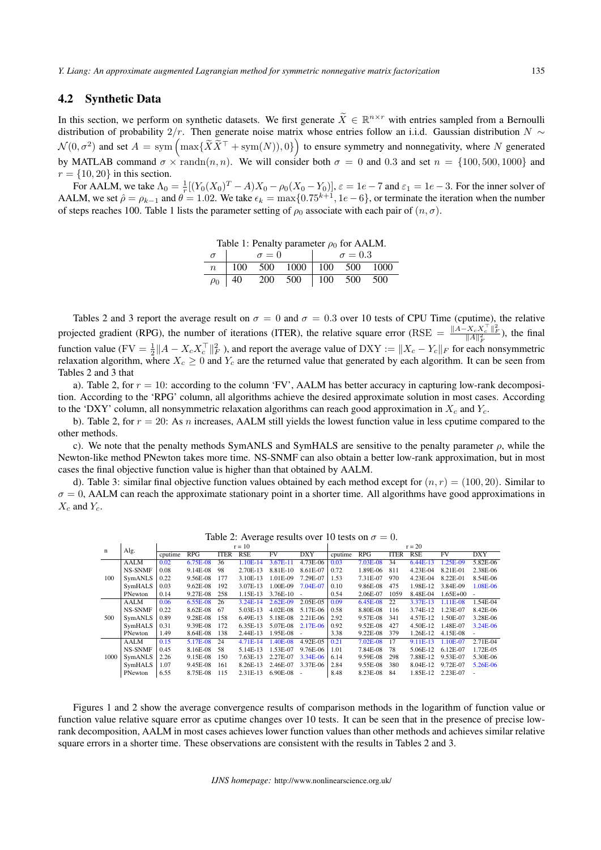#### 4.2 Synthetic Data

In this section, we perform on synthetic datasets. We first generate  $\bar{X} \in \mathbb{R}^{n \times r}$  with entries sampled from a Bernoulli distribution of probability  $2/r$ . Then generate noise matrix whose entries follow an i.i.d. Gaussian distribution *N*  $\sim$  $\mathcal{N}(0, \sigma^2)$  and set  $A = \text{sym}\left(\max\{\tilde{X}\tilde{X}^\top + \text{sym}(N), 0\}\right)$  to ensure symmetry and nonnegativity, where *N* generated by MATLAB command  $\sigma \times \text{randn}(n, n)$ . We will consider both  $\sigma = 0$  and 0.3 and set  $n = \{100, 500, 1000\}$  and  $r = \{10, 20\}$  in this section.

For AALM, we take  $\Lambda_0 = \frac{1}{r}[(Y_0(X_0)^T - A)X_0 - \rho_0(X_0 - Y_0)], \varepsilon = 1e - 7$  and  $\varepsilon_1 = 1e - 3$ . For the inner solver of AALM, we set  $\hat{\rho} = \rho_{k-1}$  and  $\theta = 1.02$ . We take  $\epsilon_k = \max\{0.75^{k+1}, 1e-6\}$ , or terminate the iteration when the number of steps reaches 100. Table 1 lists the parameter setting of  $\rho_0$  associate with each pair of  $(n, \sigma)$ .

Table 1: Penalty parameter  $\rho_0$  for AALM.

|  | $\sigma = 0$ |                                                                           | $\sigma = 0.3$ |  |  |  |  |  |
|--|--------------|---------------------------------------------------------------------------|----------------|--|--|--|--|--|
|  |              | $n \begin{array}{ l} \n100 \quad 500 \quad 1000 \end{array}$ 100 500 1000 |                |  |  |  |  |  |
|  |              | $\rho_0$   40 200 500   100 500 500                                       |                |  |  |  |  |  |

Tables 2 and 3 report the average result on  $\sigma = 0$  and  $\sigma = 0.3$  over 10 tests of CPU Time (cputime), the relative projected gradient (RPG), the number of iterations (ITER), the relative square error (RSE  $=$   $\frac{\|A-X_cX_c^{\top}\|_F^2}{\|A\|_F^2}$ ), the final function value (FV =  $\frac{1}{2}||A - X_c X_c^\top||_F^2$ ), and report the average value of DXY :=  $||X_c - Y_c||_F$  for each nonsymmetric relaxation algorithm, where  $X_c \ge 0$  and  $Y_c$  are the returned value that generated by each algorithm. It can be seen from Tables 2 and 3 that

a). Table 2, for  $r = 10$ : according to the column 'FV', AALM has better accuracy in capturing low-rank decomposition. According to the 'RPG' column, all algorithms achieve the desired approximate solution in most cases. According to the 'DXY' column, all nonsymmetric relaxation algorithms can reach good approximation in *X<sup>c</sup>* and *Yc*.

b). Table 2, for *r* = 20: As *n* increases, AALM still yields the lowest function value in less cputime compared to the other methods.

c). We note that the penalty methods SymANLS and SymHALS are sensitive to the penalty parameter *ρ*, while the Newton-like method PNewton takes more time. NS-SNMF can also obtain a better low-rank approximation, but in most cases the final objective function value is higher than that obtained by AALM.

d). Table 3: similar final objective function values obtained by each method except for  $(n, r) = (100, 20)$ . Similar to  $\sigma = 0$ , AALM can reach the approximate stationary point in a shorter time. All algorithms have good approximations in  $X_c$  and  $Y_c$ .

| n<br>100<br>500 | Alg.           | $r = 10$ |            |             |            |            |            | $r = 20$ |          |             |            |              |                         |
|-----------------|----------------|----------|------------|-------------|------------|------------|------------|----------|----------|-------------|------------|--------------|-------------------------|
|                 |                | cputime  | RPG        | <b>ITER</b> | <b>RSE</b> | FV         | <b>DXY</b> | cputime  | RPG      | <b>ITER</b> | <b>RSE</b> | FV           | $\overline{\text{D}XY}$ |
|                 | <b>AALM</b>    | 0.02     | 6.75E-08   | 36          | 1.10E-14   | 3.67E-11   | 4.73E-06   | 0.03     | 7.03E-08 | 34          | $6.44E-13$ | 1.25E-09     | 5.82E-06                |
|                 | <b>NS-SNMF</b> | 0.08     | 9.14E-08   | 98          | 2.70E-13   | 8.81E-10   | 8.61E-07   | 0.72     | 1.89E-06 | 811         | 4.23E-04   | 8.21E-01     | 2.38E-06                |
|                 | SymANLS        | 0.22     | 9.56E-08   | 177         | 3.10E-13   | 1.01E-09   | 7.29E-07   | 1.53     | 7.31E-07 | 970         | 4.23E-04   | 8.22E-01     | 8.54E-06                |
|                 | SymHALS        | 0.03     | $9.62E-08$ | 192         | 3.07E-13   | 1.00E-09   | 7.04E-07   | 0.10     | 9.86E-08 | 475         | 1.98E-12   | 3.84E-09     | 1.08E-06                |
|                 | PNewton        | 0.14     | 9.27E-08   | 258         | 1.15E-13   | 3.76E-10   | ٠          | 0.54     | 2.06E-07 | 1059        | 8.48E-04   | $1.65E + 00$ |                         |
|                 | <b>AALM</b>    | 0.06     | 6.55E-08   | 26          | $3.24E-14$ | 2.62E-09   | 2.05E-05   | 0.09     | 6.45E-08 | 22          | 3.37E-13   | 1.11E-08     | 1.54E-04                |
|                 | <b>NS-SNMF</b> | 0.22     | 8.62E-08   | -67         | 5.03E-13   | $4.02E-08$ | 5.17E-06   | 0.58     | 8.80E-08 | 116         | 3.74E-12   | 1.23E-07     | 8.42E-06                |
|                 | SymANLS        | 0.89     | 9.28E-08   | 158         | 6.49E-13   | 5.18E-08   | 2.21E-06   | 2.92     | 9.57E-08 | 341         | 4.57E-12   | 1.50E-07     | 3.28E-06                |
|                 | SymHALS        | 0.31     | 9.39E-08   | 172         | 6.35E-13   | 5.07E-08   | 2.17E-06   | 0.92     | 9.52E-08 | 427         | 4.50E-12   | 1.48E-07     | 3.24E-06                |
|                 | PNewton        | 1.49     | 8.64E-08   | 138         | 2.44E-13   | 1.95E-08   |            | 3.38     | 9.22E-08 | 379         | 1.26E-12   | 4.15E-08     |                         |
| 1000            | <b>AALM</b>    | 0.15     | 5.17E-08   | 24          | 4.71E-14   | 1.40E-08   | 4.92E-05   | 0.21     | 7.02E-08 | 17          | 9.11E-13   | 1.10E-07     | 2.71E-04                |
|                 | <b>NS-SNMF</b> | 0.45     | 8.16E-08   | .58         | 5.14E-13   | 1.53E-07   | 9.76E-06   | 1.01     | 7.84E-08 | 78          | 5.06E-12   | 6.12E-07     | 1.72E-05                |
|                 | SymANLS        | 2.26     | 9.15E-08   | 150         | 7.63E-13   | 2.27E-07   | 3.34E-06   | 6.14     | 9.59E-08 | 298         | 7.88E-12   | 9.53E-07     | 5.30E-06                |
|                 | SymHALS        | 1.07     | 9.45E-08   | 161         | 8.26E-13   | 2.46E-07   | 3.37E-06   | 2.84     | 9.55E-08 | 380         | 8.04E-12   | 9.72E-07     | 5.26E-06                |
|                 | PNewton        | 6.55     | 8.75E-08   | 115         | 2.31E-13   | 6.90E-08   |            | 8.48     | 8.23E-08 | 84          | 1.85E-12   | 2.23E-07     |                         |

Table 2: Average results over 10 tests on  $\sigma = 0$ .

Figures 1 and 2 show the average convergence results of comparison methods in the logarithm of function value or function value relative square error as cputime changes over 10 tests. It can be seen that in the presence of precise lowrank decomposition, AALM in most cases achieves lower function values than other methods and achieves similar relative square errors in a shorter time. These observations are consistent with the results in Tables 2 and 3.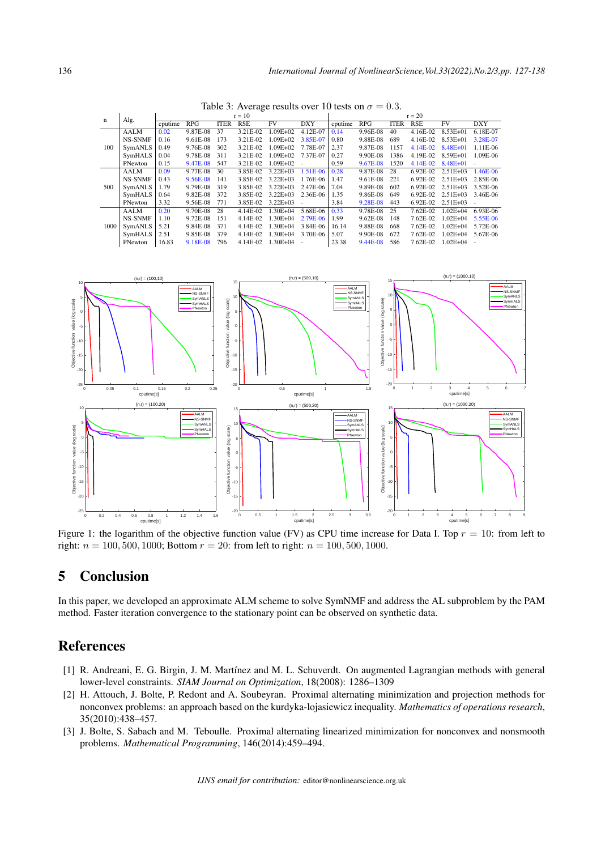|      |                | $r = 10$ |          |             |            |              |            | $r = 20$ |            |             |            |              |            |
|------|----------------|----------|----------|-------------|------------|--------------|------------|----------|------------|-------------|------------|--------------|------------|
| n    | Alg.           | cputime  | RPG      | <b>ITER</b> | <b>RSE</b> | <b>FV</b>    | <b>DXY</b> | cputime  | RPG        | <b>ITER</b> | <b>RSE</b> | <b>FV</b>    | <b>DXY</b> |
| 100  | <b>AALM</b>    | 0.02     | 9.87E-08 | 37          | 3.21E-02   | $1.09E + 02$ | 4.12E-07   | 0.14     | 9.96E-08   | 40          | 4.16E-02   | 8.53E+01     | 6.18E-07   |
|      | <b>NS-SNMF</b> | 0.16     | 9.61E-08 | 173         | 3.21E-02   | $1.09E + 02$ | 3.85E-07   | 0.80     | 9.88E-08   | 689         | 4.16E-02   | $8.53E + 01$ | 3.28E-07   |
|      | SymANLS        | 0.49     | 9.76E-08 | 302         | 3.21E-02   | $1.09E + 02$ | 7.78E-07   | 2.37     | 9.87E-08   | 1157        | 4.14E-02   | 8.48E+01     | 1.11E-06   |
|      | SymHALS        | 0.04     | 9.78E-08 | 311         | 3.21E-02   | $1.09E + 02$ | 7.37E-07   | 0.27     | 9.90E-08   | 1386        | 4.19E-02   | 8.59E+01     | 1.09E-06   |
|      | PNewton        | 0.15     | 9.47E-08 | 547         | 3.21E-02   | $1.09E + 02$ |            | 0.59     | 9.67E-08   | 1520        | $4.14E-02$ | $8.48E + 01$ |            |
| 500  | <b>AALM</b>    | 0.09     | 9.77E-08 | 30          | 3.85E-02   | $3.22E + 03$ | 1.51E-06   | 0.28     | 9.87E-08   | 28          | $6.92E-02$ | $2.51E + 03$ | 1.46E-06   |
|      | <b>NS-SNMF</b> | 0.43     | 9.56E-08 | 141         | 3.85E-02   | $3.22E + 03$ | 1.76E-06   | 1.47     | 9.61E-08   | 221         | $6.92E-02$ | $2.51E + 03$ | 2.85E-06   |
|      | SymANLS        | 1.79     | 9.79E-08 | 319         | 3.85E-02   | $3.22E + 03$ | 2.47E-06   | 7.04     | 9.89E-08   | 602         | $6.92E-02$ | $2.51E + 03$ | 3.52E-06   |
|      | SymHALS        | 0.64     | 9.82E-08 | 372         | 3.85E-02   | $3.22E + 03$ | 2.36E-06   | 1.35     | 9.86E-08   | 649         | $6.92E-02$ | $2.51E + 03$ | 3.46E-06   |
|      | PNewton        | 3.32     | 9.56E-08 | 771         | 3.85E-02   | $3.22E + 03$ |            | 3.84     | 9.28E-08   | 443         | $6.92E-02$ | $2.51E + 03$ |            |
| 1000 | AALM           | 0.20     | 9.70E-08 | 28          | 4.14E-02   | $1.30E + 04$ | 5.68E-06   | 0.33     | 9.78E-08   | 25          | 7.62E-02   | $1.02E + 04$ | 6.93E-06   |
|      | <b>NS-SNMF</b> | 1.10     | 9.72E-08 | 151         | 4.14E-02   | $1.30E + 04$ | 2.79E-06   | 1.99     | $9.62E-08$ | 148         | 7.62E-02   | $1.02E + 04$ | 5.55E-06   |
|      | SymANLS        | 5.21     | 9.84E-08 | 371         | 4.14E-02   | $1.30E + 04$ | 3.84E-06   | 16.14    | 9.88E-08   | 668         | 7.62E-02   | $1.02E + 04$ | 5.72E-06   |
|      | SymHALS        | 2.51     | 9.85E-08 | 379         | 4.14E-02   | $1.30E + 04$ | 3.70E-06   | 5.07     | 9.90E-08   | 672         | 7.62E-02   | $1.02E + 04$ | 5.67E-06   |
|      | PNewton        | 16.83    | 9.18E-08 | 796         | 4.14E-02   | $1.30E + 04$ |            | 23.38    | 9.44E-08   | 586         | 7.62E-02   | $1.02E + 04$ | $\sim$     |

Table 3: Average results over 10 tests on  $\sigma = 0.3$ .



Figure 1: the logarithm of the objective function value (FV) as CPU time increase for Data I. Top *r* = 10: from left to right:  $n = 100, 500, 1000$ ; Bottom  $r = 20$ : from left to right:  $n = 100, 500, 1000$ .

# 5 Conclusion

In this paper, we developed an approximate ALM scheme to solve SymNMF and address the AL subproblem by the PAM method. Faster iteration convergence to the stationary point can be observed on synthetic data.

# References

- [1] R. Andreani, E. G. Birgin, J. M. Martínez and M. L. Schuverdt. On augmented Lagrangian methods with general lower-level constraints. *SIAM Journal on Optimization*, 18(2008): 1286–1309
- [2] H. Attouch, J. Bolte, P. Redont and A. Soubeyran. Proximal alternating minimization and projection methods for nonconvex problems: an approach based on the kurdyka-lojasiewicz inequality. *Mathematics of operations research*, 35(2010):438–457.
- [3] J. Bolte, S. Sabach and M. Teboulle. Proximal alternating linearized minimization for nonconvex and nonsmooth problems. *Mathematical Programming*, 146(2014):459–494.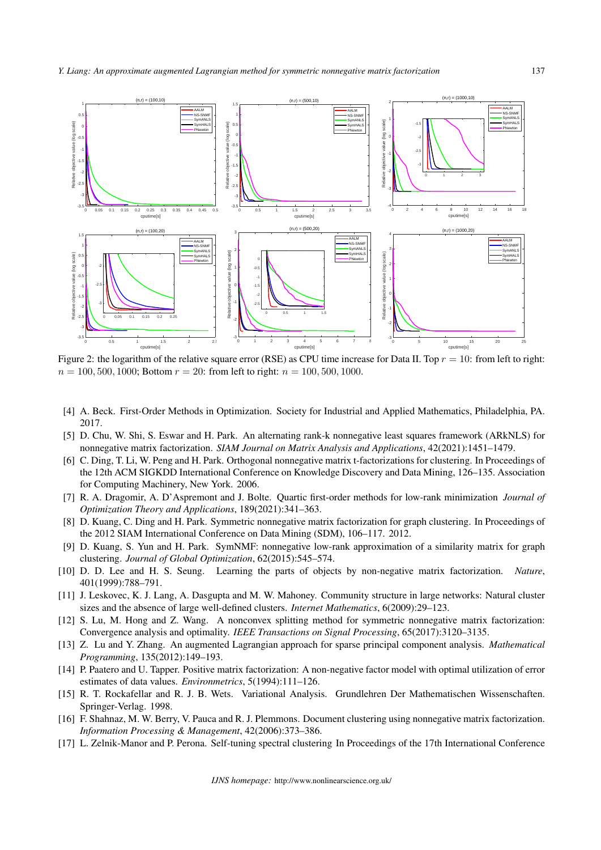

Figure 2: the logarithm of the relative square error (RSE) as CPU time increase for Data II. Top *r* = 10: from left to right:  $n = 100, 500, 1000$ ; Bottom  $r = 20$ : from left to right:  $n = 100, 500, 1000$ .

- [4] A. Beck. First-Order Methods in Optimization. Society for Industrial and Applied Mathematics, Philadelphia, PA. 2017.
- [5] D. Chu, W. Shi, S. Eswar and H. Park. An alternating rank-k nonnegative least squares framework (ARkNLS) for nonnegative matrix factorization. *SIAM Journal on Matrix Analysis and Applications*, 42(2021):1451–1479.
- [6] C. Ding, T. Li, W. Peng and H. Park. Orthogonal nonnegative matrix t-factorizations for clustering. In Proceedings of the 12th ACM SIGKDD International Conference on Knowledge Discovery and Data Mining, 126–135. Association for Computing Machinery, New York. 2006.
- [7] R. A. Dragomir, A. D'Aspremont and J. Bolte. Quartic first-order methods for low-rank minimization *Journal of Optimization Theory and Applications*, 189(2021):341–363.
- [8] D. Kuang, C. Ding and H. Park. Symmetric nonnegative matrix factorization for graph clustering. In Proceedings of the 2012 SIAM International Conference on Data Mining (SDM), 106–117. 2012.
- [9] D. Kuang, S. Yun and H. Park. SymNMF: nonnegative low-rank approximation of a similarity matrix for graph clustering. *Journal of Global Optimization*, 62(2015):545–574.
- [10] D. D. Lee and H. S. Seung. Learning the parts of objects by non-negative matrix factorization. *Nature*, 401(1999):788–791.
- [11] J. Leskovec, K. J. Lang, A. Dasgupta and M. W. Mahoney. Community structure in large networks: Natural cluster sizes and the absence of large well-defined clusters. *Internet Mathematics*, 6(2009):29–123.
- [12] S. Lu, M. Hong and Z. Wang. A nonconvex splitting method for symmetric nonnegative matrix factorization: Convergence analysis and optimality. *IEEE Transactions on Signal Processing*, 65(2017):3120–3135.
- [13] Z. Lu and Y. Zhang. An augmented Lagrangian approach for sparse principal component analysis. *Mathematical Programming*, 135(2012):149–193.
- [14] P. Paatero and U. Tapper. Positive matrix factorization: A non-negative factor model with optimal utilization of error estimates of data values. *Environmetrics*, 5(1994):111–126.
- [15] R. T. Rockafellar and R. J. B. Wets. Variational Analysis. Grundlehren Der Mathematischen Wissenschaften. Springer-Verlag. 1998.
- [16] F. Shahnaz, M. W. Berry, V. Pauca and R. J. Plemmons. Document clustering using nonnegative matrix factorization. *Information Processing & Management*, 42(2006):373–386.
- [17] L. Zelnik-Manor and P. Perona. Self-tuning spectral clustering In Proceedings of the 17th International Conference